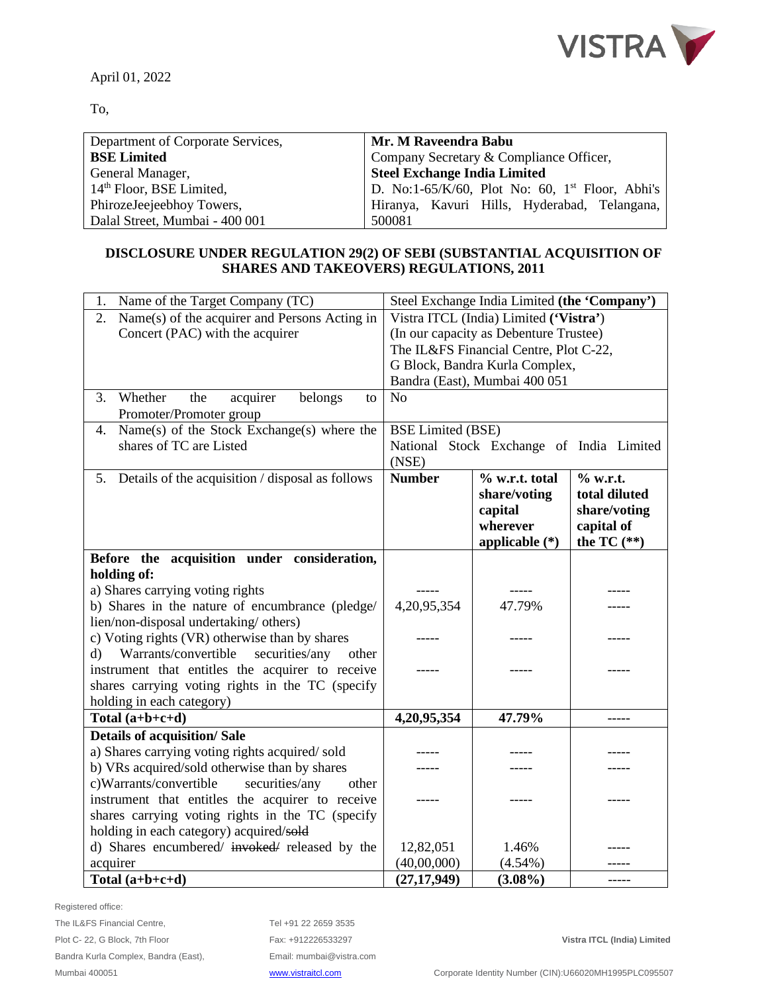

April 01, 2022

To,

| Department of Corporate Services,    | Mr. M Raveendra Babu                                        |  |  |
|--------------------------------------|-------------------------------------------------------------|--|--|
| <b>BSE Limited</b>                   | Company Secretary & Compliance Officer,                     |  |  |
| General Manager,                     | <b>Steel Exchange India Limited</b>                         |  |  |
| 14 <sup>th</sup> Floor, BSE Limited, | D. No:1-65/K/60, Plot No: 60, 1 <sup>st</sup> Floor, Abhi's |  |  |
| PhirozeJeejeebhoy Towers,            | Hiranya, Kavuri Hills, Hyderabad, Telangana,                |  |  |
| Dalal Street, Mumbai - 400 001       | 500081                                                      |  |  |

## **DISCLOSURE UNDER REGULATION 29(2) OF SEBI (SUBSTANTIAL ACQUISITION OF SHARES AND TAKEOVERS) REGULATIONS, 2011**

| Name of the Target Company (TC)<br>1.                                        | Steel Exchange India Limited (the 'Company')      |                                        |               |  |
|------------------------------------------------------------------------------|---------------------------------------------------|----------------------------------------|---------------|--|
| Name(s) of the acquirer and Persons Acting in<br>2.                          |                                                   | Vistra ITCL (India) Limited ('Vistra') |               |  |
| Concert (PAC) with the acquirer                                              |                                                   | (In our capacity as Debenture Trustee) |               |  |
|                                                                              | The IL&FS Financial Centre, Plot C-22,            |                                        |               |  |
|                                                                              | G Block, Bandra Kurla Complex,                    |                                        |               |  |
|                                                                              | Bandra (East), Mumbai 400 051                     |                                        |               |  |
| Whether<br>belongs<br>3.<br>the<br>acquirer<br>to<br>Promoter/Promoter group | N <sub>o</sub>                                    |                                        |               |  |
| $\overline{\text{Name}(s)}$ of the Stock Exchange(s) where the<br>4.         | <b>BSE Limited (BSE)</b>                          |                                        |               |  |
| shares of TC are Listed                                                      | National Stock Exchange of India Limited<br>(NSE) |                                        |               |  |
| Details of the acquisition / disposal as follows<br>5.                       | <b>Number</b>                                     | % w.r.t. total                         | $%$ w.r.t.    |  |
|                                                                              |                                                   | share/voting                           | total diluted |  |
|                                                                              |                                                   | capital                                | share/voting  |  |
|                                                                              |                                                   | wherever                               | capital of    |  |
|                                                                              |                                                   | applicable (*)                         | the TC $(**)$ |  |
| Before the acquisition under consideration,                                  |                                                   |                                        |               |  |
| holding of:                                                                  |                                                   |                                        |               |  |
| a) Shares carrying voting rights                                             |                                                   |                                        |               |  |
| b) Shares in the nature of encumbrance (pledge/                              | 4,20,95,354                                       | 47.79%                                 |               |  |
| lien/non-disposal undertaking/ others)                                       |                                                   |                                        |               |  |
| c) Voting rights (VR) otherwise than by shares                               |                                                   |                                        |               |  |
| Warrants/convertible<br>securities/any<br>$\mathbf{d}$<br>other              |                                                   |                                        |               |  |
| instrument that entitles the acquirer to receive                             |                                                   |                                        |               |  |
| shares carrying voting rights in the TC (specify                             |                                                   |                                        |               |  |
| holding in each category)                                                    |                                                   |                                        |               |  |
| Total $(a+b+c+d)$                                                            | 4,20,95,354                                       | 47.79%                                 | -----         |  |
| <b>Details of acquisition/ Sale</b>                                          |                                                   |                                        |               |  |
| a) Shares carrying voting rights acquired/sold                               |                                                   |                                        |               |  |
| b) VRs acquired/sold otherwise than by shares                                |                                                   |                                        |               |  |
| c)Warrants/convertible<br>securities/any<br>other                            |                                                   |                                        |               |  |
| instrument that entitles the acquirer to receive                             |                                                   |                                        |               |  |
| shares carrying voting rights in the TC (specify                             |                                                   |                                        |               |  |
| holding in each category) acquired/sold                                      |                                                   |                                        |               |  |
| d) Shares encumbered/ invoked/ released by the                               | 12,82,051                                         | 1.46%                                  |               |  |
| acquirer                                                                     | (40,00,000)                                       | $(4.54\%)$                             |               |  |
| Total $(a+b+c+d)$                                                            | (27, 17, 949)                                     | $(3.08\%)$                             | -----         |  |

Registered office:

Tel +91 22 2659 3535 Fax: +912226533297 **Vistra ITCL (India) Limited** Email[: mumbai@vistra.com](mailto:mumbai@vistra.com)